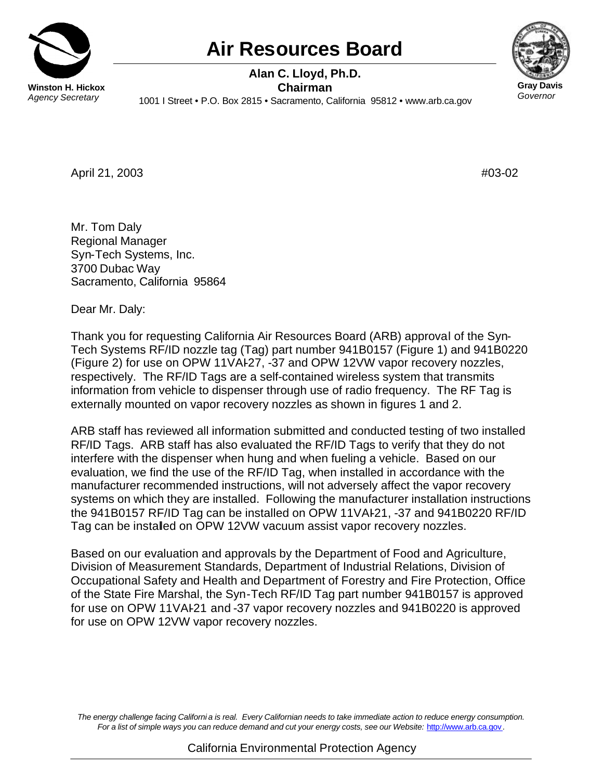

## **Air Resources Board**



 **Alan C. Lloyd, Ph.D. Winston H. Hickox Chairman**<br>Agency Secretary 1001 | Street • P.O. Box 2815 • Secremento C *Agency Secretary* 1001 I Street • P.O. Box 2815 • Sacramento, California 95812 • <www.arb.ca.gov>

April 21, 2003 #03-02

Mr. Tom Daly Regional Manager Syn-Tech Systems, Inc. 3700 Dubac Way Sacramento, California 95864

Dear Mr. Daly:

Thank you for requesting California Air Resources Board (ARB) approval of the Syn-Tech Systems RF/ID nozzle tag (Tag) part number 941B0157 (Figure 1) and 941B0220 (Figure 2) for use on OPW 11VAI-27, -37 and OPW 12VW vapor recovery nozzles, respectively. The RF/ID Tags are a self-contained wireless system that transmits information from vehicle to dispenser through use of radio frequency. The RF Tag is externally mounted on vapor recovery nozzles as shown in figures 1 and 2.

ARB staff has reviewed all information submitted and conducted testing of two installed RF/ID Tags. ARB staff has also evaluated the RF/ID Tags to verify that they do not interfere with the dispenser when hung and when fueling a vehicle. Based on our evaluation, we find the use of the RF/ID Tag, when installed in accordance with the manufacturer recommended instructions, will not adversely affect the vapor recovery systems on which they are installed. Following the manufacturer installation instructions the 941B0157 RF/ID Tag can be installed on OPW 11VAI-21, -37 and 941B0220 RF/ID Tag can be installed on OPW 12VW vacuum assist vapor recovery nozzles.

Based on our evaluation and approvals by the Department of Food and Agriculture, Division of Measurement Standards, Department of Industrial Relations, Division of Occupational Safety and Health and Department of Forestry and Fire Protection, Office of the State Fire Marshal, the Syn-Tech RF/ID Tag part number 941B0157 is approved for use on OPW 11VAI-21 and -37 vapor recovery nozzles and 941B0220 is approved for use on OPW 12VW vapor recovery nozzles.

*The energy challenge facing Californi a is real. Every Californian needs to take immediate action to reduce energy consumption. For a list of simple ways you can reduce demand and cut your energy costs, see our Website:* <http://www.arb.ca.gov> *.*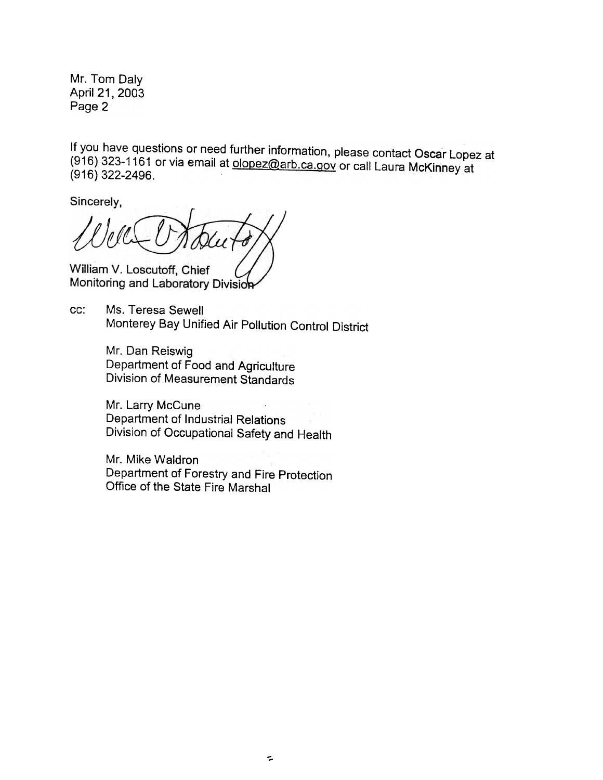Mr. Tom Daly April 21,2003 Page 2

If you have questions or need further information, please contact Oscar Lopez at  $(916)$  323-1161 or via email at olopez@arb.ca.gov or call Laura McKinney at (916) 322-2496.

Sincerely.

William V. Loscutoff, Chief Monitoring and Laboratory Division

cc: Ms. Teresa Sewell Monterey Bay Unified Air Pollution Control District

> Mr. Dan Reiswig Department of Food and Agriculture Division of Measurement Standards

Mr. Larry McCune Department of Industrial Relations Division of Occupational Safety and Health

Mr. Mike Waldron Department of Forestry and Fire Protection Office of the State Fire Marshal